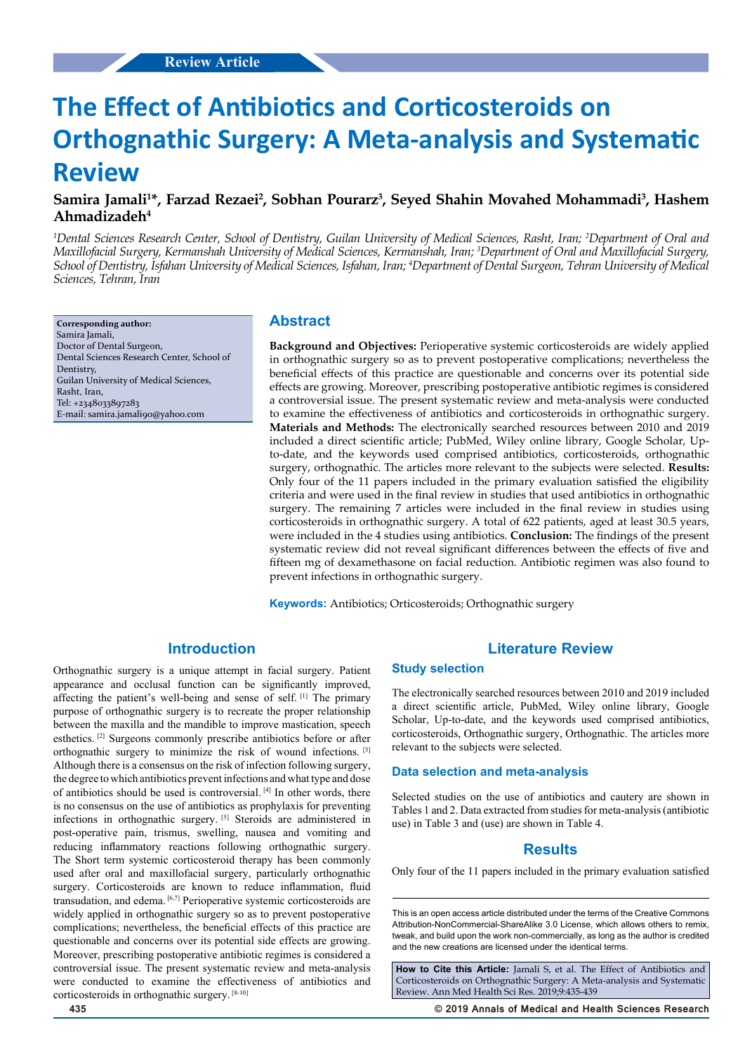# **The Effect of Antibiotics and Corticosteroids on Orthognathic Surgery: A Meta-analysis and Systematic Review**

# **Samira Jamali1 \*, Farzad Rezaei2 , Sobhan Pourarz3 , Seyed Shahin Movahed Mohammadi3 , Hashem Ahmadizadeh4**

*1 Dental Sciences Research Center, School of Dentistry, Guilan University of Medical Sciences, Rasht, Iran; 2 Department of Oral and Maxillofacial Surgery, Kermanshah University of Medical Sciences, Kermanshah, Iran; 3 Department of Oral and Maxillofacial Surgery, School of Dentistry, Isfahan University of Medical Sciences, Isfahan, Iran; 4 Department of Dental Surgeon, Tehran University of Medical Sciences, Tehran, Iran*

**Corresponding author:** Samira Jamali, Doctor of Dental Surgeon, Dental Sciences Research Center, School of Dentistry, Guilan University of Medical Sciences, Rasht, Iran, Tel: +2348033897283 E-mail: samira.jamali90@yahoo.com

# **Abstract**

**Background and Objectives:** Perioperative systemic corticosteroids are widely applied in orthognathic surgery so as to prevent postoperative complications; nevertheless the beneficial effects of this practice are questionable and concerns over its potential side effects are growing. Moreover, prescribing postoperative antibiotic regimes is considered a controversial issue. The present systematic review and meta-analysis were conducted to examine the effectiveness of antibiotics and corticosteroids in orthognathic surgery. **Materials and Methods:** The electronically searched resources between 2010 and 2019 included a direct scientific article; PubMed, Wiley online library, Google Scholar, Upto-date, and the keywords used comprised antibiotics, corticosteroids, orthognathic surgery, orthognathic. The articles more relevant to the subjects were selected. **Results:** Only four of the 11 papers included in the primary evaluation satisfied the eligibility criteria and were used in the final review in studies that used antibiotics in orthognathic surgery. The remaining 7 articles were included in the final review in studies using corticosteroids in orthognathic surgery. A total of 622 patients, aged at least 30.5 years, were included in the 4 studies using antibiotics. **Conclusion:** The findings of the present systematic review did not reveal significant differences between the effects of five and fifteen mg of dexamethasone on facial reduction. Antibiotic regimen was also found to prevent infections in orthognathic surgery.

**Keywords:** Antibiotics; Orticosteroids; Orthognathic surgery

# **Introduction**

Orthognathic surgery is a unique attempt in facial surgery. Patient appearance and occlusal function can be significantly improved, affecting the patient's well-being and sense of self. [1] The primary purpose of orthognathic surgery is to recreate the proper relationship between the maxilla and the mandible to improve mastication, speech esthetics. [2] Surgeons commonly prescribe antibiotics before or after orthognathic surgery to minimize the risk of wound infections. [3] Although there is a consensus on the risk of infection following surgery, the degree to which antibiotics prevent infections and what type and dose of antibiotics should be used is controversial. [4] In other words, there is no consensus on the use of antibiotics as prophylaxis for preventing infections in orthognathic surgery. [5] Steroids are administered in post-operative pain, trismus, swelling, nausea and vomiting and reducing inflammatory reactions following orthognathic surgery. The Short term systemic corticosteroid therapy has been commonly used after oral and maxillofacial surgery, particularly orthognathic surgery. Corticosteroids are known to reduce inflammation, fluid transudation, and edema. [6,7] Perioperative systemic corticosteroids are widely applied in orthognathic surgery so as to prevent postoperative complications; nevertheless, the beneficial effects of this practice are questionable and concerns over its potential side effects are growing. Moreover, prescribing postoperative antibiotic regimes is considered a controversial issue. The present systematic review and meta-analysis were conducted to examine the effectiveness of antibiotics and corticosteroids in orthognathic surgery. [8-10]

#### **Literature Review**

# **Study selection**

The electronically searched resources between 2010 and 2019 included a direct scientific article, PubMed, Wiley online library, Google Scholar, Up-to-date, and the keywords used comprised antibiotics, corticosteroids, Orthognathic surgery, Orthognathic. The articles more relevant to the subjects were selected.

### **Data selection and meta-analysis**

Selected studies on the use of antibiotics and cautery are shown in Tables 1 and 2. Data extracted from studies for meta-analysis (antibiotic use) in Table 3 and (use) are shown in Table 4.

# **Results**

Only four of the 11 papers included in the primary evaluation satisfied

This is an open access article distributed under the terms of the Creative Commons Attribution‑NonCommercial‑ShareAlike 3.0 License, which allows others to remix, tweak, and build upon the work non‑commercially, as long as the author is credited and the new creations are licensed under the identical terms.

**How to Cite this Article:** Jamali S, et al. The Effect of Antibiotics and Corticosteroids on Orthognathic Surgery: A Meta-analysis and Systematic Review. Ann Med Health Sci Res. 2019;9:435-439

**435 © 2019 Annals of Medical and Health Sciences Research**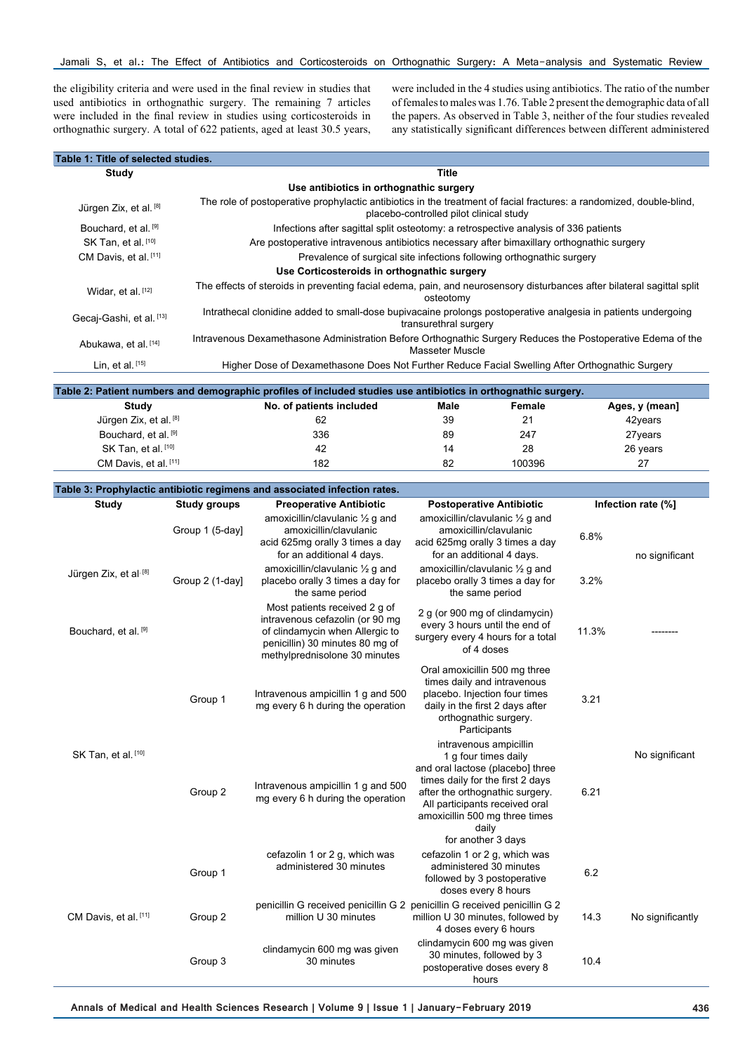the eligibility criteria and were used in the final review in studies that used antibiotics in orthognathic surgery. The remaining 7 articles were included in the final review in studies using corticosteroids in orthognathic surgery. A total of 622 patients, aged at least 30.5 years,

were included in the 4 studies using antibiotics. The ratio of the number of females to males was 1.76. Table 2 present the demographic data of all the papers. As observed in Table 3, neither of the four studies revealed any statistically significant differences between different administered

| Table 1: Title of selected studies.         |                                                                                                                                                                 |  |  |  |
|---------------------------------------------|-----------------------------------------------------------------------------------------------------------------------------------------------------------------|--|--|--|
| Study                                       | Title                                                                                                                                                           |  |  |  |
| Use antibiotics in orthognathic surgery     |                                                                                                                                                                 |  |  |  |
| Jürgen Zix, et al. [8]                      | The role of postoperative prophylactic antibiotics in the treatment of facial fractures: a randomized, double-blind,<br>placebo-controlled pilot clinical study |  |  |  |
| Bouchard, et al. [9]                        | Infections after sagittal split osteotomy: a retrospective analysis of 336 patients                                                                             |  |  |  |
| SK Tan, et al. [10]                         | Are postoperative intravenous antibiotics necessary after bimaxillary orthognathic surgery                                                                      |  |  |  |
| CM Davis, et al. [11]                       | Prevalence of surgical site infections following orthognathic surgery                                                                                           |  |  |  |
| Use Corticosteroids in orthognathic surgery |                                                                                                                                                                 |  |  |  |
| Widar, et al. [12]                          | The effects of steroids in preventing facial edema, pain, and neurosensory disturbances after bilateral sagittal split<br>osteotomy                             |  |  |  |
| Gecaj-Gashi, et al. [13]                    | Intrathecal clonidine added to small-dose bupivacaine prolongs postoperative analgesia in patients undergoing<br>transurethral surgery                          |  |  |  |
| Abukawa, et al. [14]                        | Intravenous Dexamethasone Administration Before Orthognathic Surgery Reduces the Postoperative Edema of the<br>Masseter Muscle                                  |  |  |  |
| Lin, et al. $[15]$                          | Higher Dose of Dexamethasone Does Not Further Reduce Facial Swelling After Orthognathic Surgery                                                                 |  |  |  |
|                                             |                                                                                                                                                                 |  |  |  |

| Table 2: Patient numbers and demographic profiles of included studies use antibiotics in orthognathic surgery. |                          |      |        |                |  |  |
|----------------------------------------------------------------------------------------------------------------|--------------------------|------|--------|----------------|--|--|
| Study                                                                                                          | No. of patients included | Male | Female | Ages, y (mean] |  |  |
| Jürgen Zix, et al. [8]                                                                                         | 62                       | 39   | 21     | 42years        |  |  |
| Bouchard, et al. [9]                                                                                           | 336                      | 89   | 247    | 27 years       |  |  |
| SK Tan, et al. [10]                                                                                            | 42                       | 14   | 28     | 26 years       |  |  |
| CM Davis, et al. [11]                                                                                          | 182                      | 82   | 100396 | 27             |  |  |

| Table 3: Prophylactic antibiotic regimens and associated infection rates. |                     |                                                                                                                                                                         |                                                                                                                                                                                                                                                              |       |                    |
|---------------------------------------------------------------------------|---------------------|-------------------------------------------------------------------------------------------------------------------------------------------------------------------------|--------------------------------------------------------------------------------------------------------------------------------------------------------------------------------------------------------------------------------------------------------------|-------|--------------------|
| <b>Study</b>                                                              | <b>Study groups</b> | <b>Preoperative Antibiotic</b>                                                                                                                                          | <b>Postoperative Antibiotic</b>                                                                                                                                                                                                                              |       | Infection rate (%] |
|                                                                           | Group 1 (5-day)     | amoxicillin/clavulanic $\frac{1}{2}$ g and<br>amoxicillin/clavulanic<br>acid 625mg orally 3 times a day<br>for an additional 4 days.                                    | amoxicillin/clavulanic 1/2 g and<br>amoxicillin/clavulanic<br>acid 625mg orally 3 times a day<br>for an additional 4 days.                                                                                                                                   | 6.8%  | no significant     |
| Jürgen Zix, et al [8]                                                     | Group 2 (1-day)     | amoxicillin/clavulanic $\frac{1}{2}$ g and<br>placebo orally 3 times a day for<br>the same period                                                                       | amoxicillin/clavulanic $\frac{1}{2}$ g and<br>placebo orally 3 times a day for<br>the same period                                                                                                                                                            | 3.2%  |                    |
| Bouchard, et al. [9]                                                      |                     | Most patients received 2 g of<br>intravenous cefazolin (or 90 mg<br>of clindamycin when Allergic to<br>penicillin) 30 minutes 80 mg of<br>methylprednisolone 30 minutes | 2 g (or 900 mg of clindamycin)<br>every 3 hours until the end of<br>surgery every 4 hours for a total<br>of 4 doses                                                                                                                                          | 11.3% |                    |
| SK Tan, et al. [10]                                                       | Group 1             | Intravenous ampicillin 1 g and 500<br>mg every 6 h during the operation                                                                                                 | Oral amoxicillin 500 mg three<br>times daily and intravenous<br>placebo. Injection four times<br>daily in the first 2 days after<br>orthognathic surgery.<br>Participants                                                                                    | 3.21  |                    |
|                                                                           | Group 2             | Intravenous ampicillin 1 g and 500<br>mg every 6 h during the operation                                                                                                 | intravenous ampicillin<br>1 g four times daily<br>and oral lactose (placebo) three<br>times daily for the first 2 days<br>after the orthognathic surgery.<br>All participants received oral<br>amoxicillin 500 mg three times<br>daily<br>for another 3 days | 6.21  | No significant     |
| CM Davis, et al. [11]                                                     | Group 1             | cefazolin 1 or 2 g, which was<br>administered 30 minutes                                                                                                                | cefazolin 1 or 2 g, which was<br>administered 30 minutes<br>followed by 3 postoperative<br>doses every 8 hours                                                                                                                                               | 6.2   |                    |
|                                                                           | Group 2             | penicillin G received penicillin G 2 penicillin G received penicillin G 2<br>million U 30 minutes                                                                       | million U 30 minutes, followed by<br>4 doses every 6 hours                                                                                                                                                                                                   | 14.3  | No significantly   |
|                                                                           | Group 3             | clindamycin 600 mg was given<br>30 minutes                                                                                                                              | clindamycin 600 mg was given<br>30 minutes, followed by 3<br>postoperative doses every 8<br>hours                                                                                                                                                            | 10.4  |                    |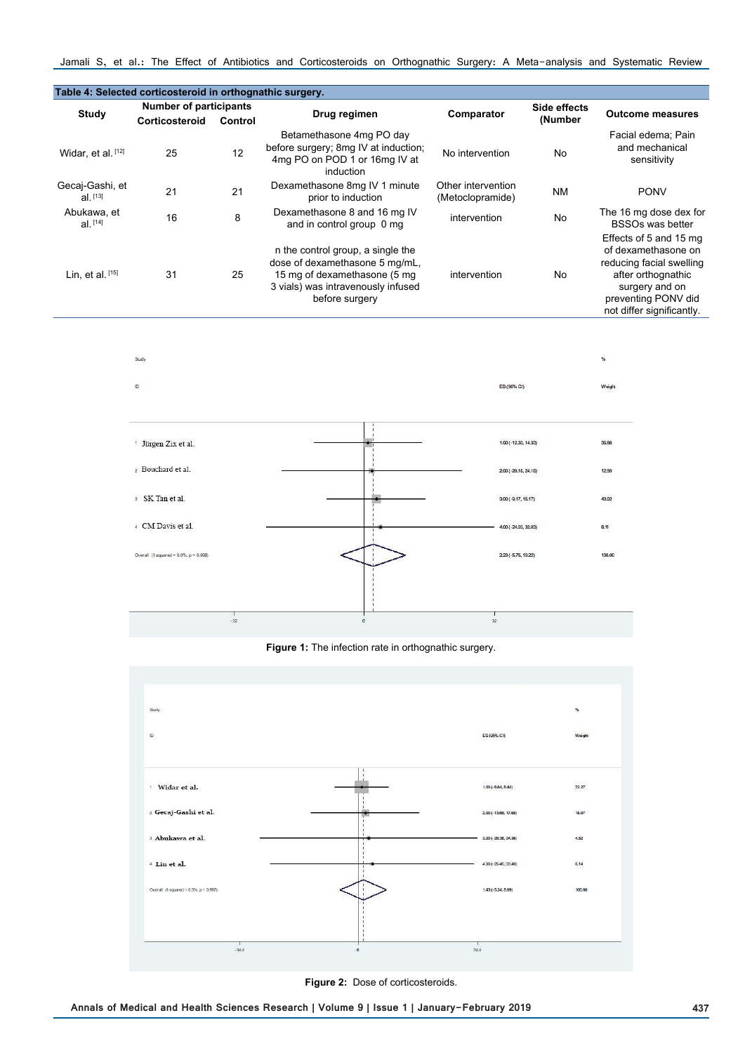| Table 4: Selected corticosteroid in orthognathic surgery. |                               |         |                                                                                                                                                             |                                        |              |                                                                                                                                                                       |
|-----------------------------------------------------------|-------------------------------|---------|-------------------------------------------------------------------------------------------------------------------------------------------------------------|----------------------------------------|--------------|-----------------------------------------------------------------------------------------------------------------------------------------------------------------------|
| <b>Study</b>                                              | <b>Number of participants</b> |         |                                                                                                                                                             |                                        | Side effects |                                                                                                                                                                       |
|                                                           | Corticosteroid                | Control | Drug regimen                                                                                                                                                | Comparator                             | (Number      | <b>Outcome measures</b>                                                                                                                                               |
| Widar, et al. [12]                                        | 25                            | 12      | Betamethasone 4mg PO day<br>before surgery; 8mg IV at induction;<br>4mg PO on POD 1 or 16mg IV at<br>induction                                              | No intervention                        | No           | Facial edema; Pain<br>and mechanical<br>sensitivity                                                                                                                   |
| Gecaj-Gashi, et<br>$al.$ [13]                             | 21                            | 21      | Dexamethasone 8mg IV 1 minute<br>prior to induction                                                                                                         | Other intervention<br>(Metoclopramide) | <b>NM</b>    | <b>PONV</b>                                                                                                                                                           |
| Abukawa, et<br>$al.$ [14]                                 | 16                            | 8       | Dexamethasone 8 and 16 mg IV<br>and in control group 0 mg                                                                                                   | intervention                           | <b>No</b>    | The 16 mg dose dex for<br><b>BSSOs was better</b>                                                                                                                     |
| Lin, et al. $[15]$                                        | 31                            | 25      | n the control group, a single the<br>dose of dexamethasone 5 mg/mL,<br>15 mg of dexamethasone (5 mg<br>3 vials) was intravenously infused<br>before surgery | intervention                           | No.          | Effects of 5 and 15 mg<br>of dexamethasone on<br>reducing facial swelling<br>after orthognathic<br>surgery and on<br>preventing PONV did<br>not differ significantly. |



# Figure 1: The infection rate in orthognathic surgery.



**Figure 2:** Dose of corticosteroids.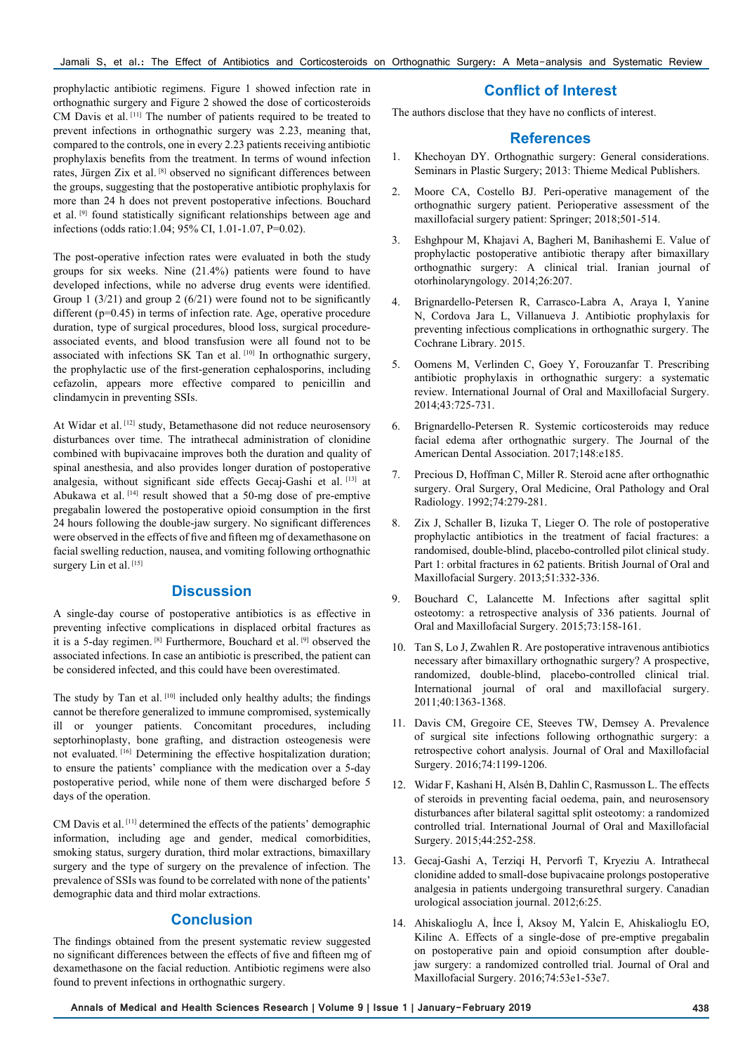prophylactic antibiotic regimens. Figure 1 showed infection rate in orthognathic surgery and Figure 2 showed the dose of corticosteroids CM Davis et al. [11] The number of patients required to be treated to prevent infections in orthognathic surgery was 2.23, meaning that, compared to the controls, one in every 2.23 patients receiving antibiotic prophylaxis benefits from the treatment. In terms of wound infection rates, Jürgen Zix et al. [8] observed no significant differences between the groups, suggesting that the postoperative antibiotic prophylaxis for more than 24 h does not prevent postoperative infections. Bouchard et al. [9] found statistically significant relationships between age and infections (odds ratio:1.04; 95% CI, 1.01-1.07, P=0.02).

The post-operative infection rates were evaluated in both the study groups for six weeks. Nine (21.4%) patients were found to have developed infections, while no adverse drug events were identified. Group 1 (3/21) and group 2 (6/21) were found not to be significantly different (p=0.45) in terms of infection rate. Age, operative procedure duration, type of surgical procedures, blood loss, surgical procedureassociated events, and blood transfusion were all found not to be associated with infections SK Tan et al. [10] In orthognathic surgery, the prophylactic use of the first-generation cephalosporins, including cefazolin, appears more effective compared to penicillin and clindamycin in preventing SSIs.

At Widar et al. [12] study, Betamethasone did not reduce neurosensory disturbances over time. The intrathecal administration of clonidine combined with bupivacaine improves both the duration and quality of spinal anesthesia, and also provides longer duration of postoperative analgesia, without significant side effects Gecaj-Gashi et al. [13] at Abukawa et al. [14] result showed that a 50-mg dose of pre-emptive pregabalin lowered the postoperative opioid consumption in the first 24 hours following the double-jaw surgery. No significant differences were observed in the effects of five and fifteen mg of dexamethasone on facial swelling reduction, nausea, and vomiting following orthognathic surgery Lin et al.<sup>[15]</sup>

# **Discussion**

A single-day course of postoperative antibiotics is as effective in preventing infective complications in displaced orbital fractures as it is a 5-day regimen. [8] Furthermore, Bouchard et al. [9] observed the associated infections. In case an antibiotic is prescribed, the patient can be considered infected, and this could have been overestimated.

The study by Tan et al. [10] included only healthy adults; the findings cannot be therefore generalized to immune compromised, systemically ill or younger patients. Concomitant procedures, including septorhinoplasty, bone grafting, and distraction osteogenesis were not evaluated. [16] Determining the effective hospitalization duration; to ensure the patients' compliance with the medication over a 5-day postoperative period, while none of them were discharged before 5 days of the operation.

CM Davis et al. [11] determined the effects of the patients' demographic information, including age and gender, medical comorbidities, smoking status, surgery duration, third molar extractions, bimaxillary surgery and the type of surgery on the prevalence of infection. The prevalence of SSIs was found to be correlated with none of the patients' demographic data and third molar extractions.

# **Conclusion**

The findings obtained from the present systematic review suggested no significant differences between the effects of five and fifteen mg of dexamethasone on the facial reduction. Antibiotic regimens were also found to prevent infections in orthognathic surgery.

### **Conflict of Interest**

The authors disclose that they have no conflicts of interest.

### **References**

- 1. Khechoyan DY. Orthognathic surgery: General considerations. Seminars in Plastic Surgery; 2013: Thieme Medical Publishers.
- 2. Moore CA, Costello BJ. Peri-operative management of the orthognathic surgery patient. Perioperative assessment of the maxillofacial surgery patient: Springer; 2018;501-514.
- 3. Eshghpour M, Khajavi A, Bagheri M, Banihashemi E. Value of prophylactic postoperative antibiotic therapy after bimaxillary orthognathic surgery: A clinical trial. Iranian journal of otorhinolaryngology. 2014;26:207.
- 4. Brignardello-Petersen R, Carrasco-Labra A, Araya I, Yanine N, Cordova Jara L, Villanueva J. Antibiotic prophylaxis for preventing infectious complications in orthognathic surgery. The Cochrane Library. 2015.
- 5. Oomens M, Verlinden C, Goey Y, Forouzanfar T. Prescribing antibiotic prophylaxis in orthognathic surgery: a systematic review. International Journal of Oral and Maxillofacial Surgery. 2014;43:725-731.
- 6. Brignardello-Petersen R. Systemic corticosteroids may reduce facial edema after orthognathic surgery. The Journal of the American Dental Association. 2017;148:e185.
- 7. Precious D, Hoffman C, Miller R. Steroid acne after orthognathic surgery. Oral Surgery, Oral Medicine, Oral Pathology and Oral Radiology. 1992;74:279-281.
- 8. Zix J, Schaller B, Iizuka T, Lieger O. The role of postoperative prophylactic antibiotics in the treatment of facial fractures: a randomised, double-blind, placebo-controlled pilot clinical study. Part 1: orbital fractures in 62 patients. British Journal of Oral and Maxillofacial Surgery. 2013;51:332-336.
- 9. Bouchard C, Lalancette M. Infections after sagittal split osteotomy: a retrospective analysis of 336 patients. Journal of Oral and Maxillofacial Surgery. 2015;73:158-161.
- 10. Tan S, Lo J, Zwahlen R. Are postoperative intravenous antibiotics necessary after bimaxillary orthognathic surgery? A prospective, randomized, double-blind, placebo-controlled clinical trial. International journal of oral and maxillofacial surgery. 2011;40:1363-1368.
- 11. Davis CM, Gregoire CE, Steeves TW, Demsey A. Prevalence of surgical site infections following orthognathic surgery: a retrospective cohort analysis. Journal of Oral and Maxillofacial Surgery. 2016;74:1199-1206.
- 12. Widar F, Kashani H, Alsén B, Dahlin C, Rasmusson L. The effects of steroids in preventing facial oedema, pain, and neurosensory disturbances after bilateral sagittal split osteotomy: a randomized controlled trial. International Journal of Oral and Maxillofacial Surgery. 2015;44:252-258.
- 13. Gecaj-Gashi A, Terziqi H, Pervorfi T, Kryeziu A. Intrathecal clonidine added to small-dose bupivacaine prolongs postoperative analgesia in patients undergoing transurethral surgery. Canadian urological association journal. 2012;6:25.
- 14. Ahiskalioglu A, İnce İ, Aksoy M, Yalcin E, Ahiskalioglu EO, Kilinc A. Effects of a single-dose of pre-emptive pregabalin on postoperative pain and opioid consumption after doublejaw surgery: a randomized controlled trial. Journal of Oral and Maxillofacial Surgery. 2016;74:53e1-53e7.